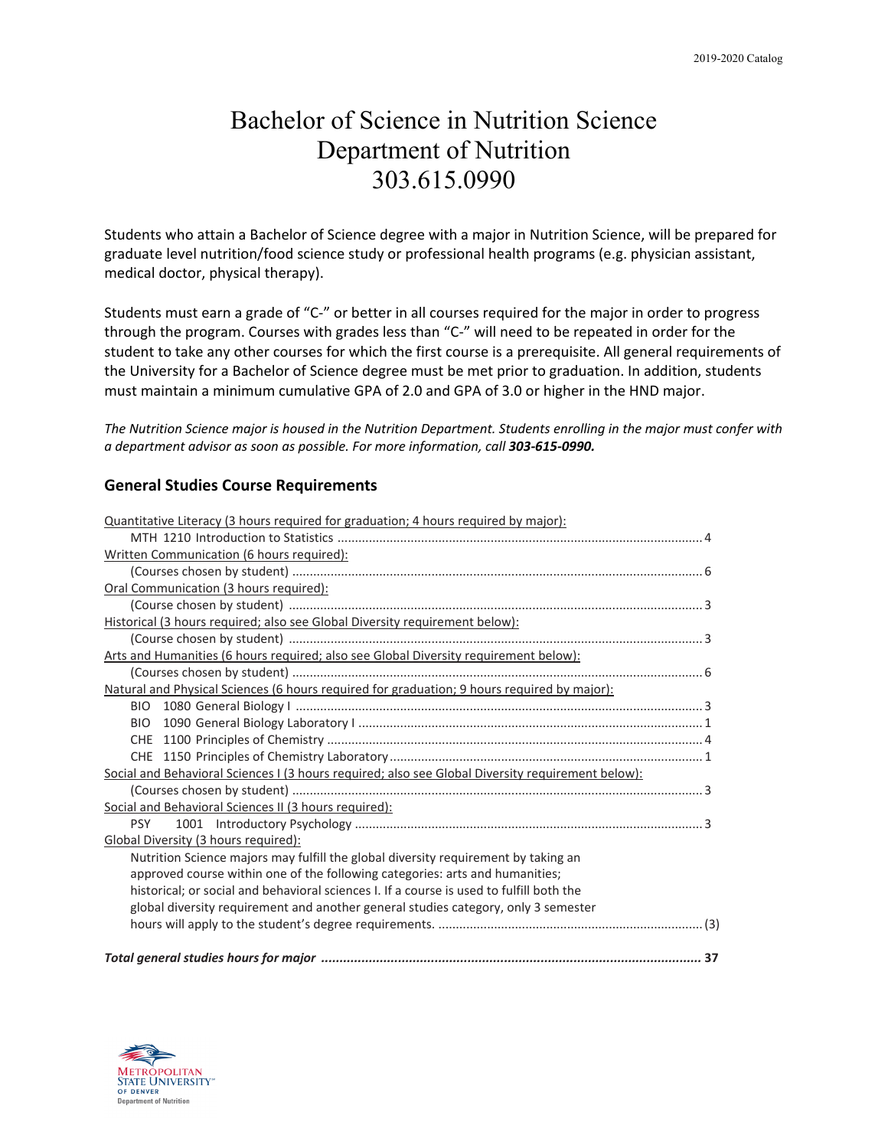# Bachelor of Science in Nutrition Science Department of Nutrition 303.615.0990

Students who attain a Bachelor of Science degree with a major in Nutrition Science, will be prepared for graduate level nutrition/food science study or professional health programs (e.g. physician assistant, medical doctor, physical therapy).

Students must earn a grade of "C-" or better in all courses required for the major in order to progress through the program. Courses with grades less than "C-" will need to be repeated in order for the student to take any other courses for which the first course is a prerequisite. All general requirements of the University for a Bachelor of Science degree must be met prior to graduation. In addition, students must maintain a minimum cumulative GPA of 2.0 and GPA of 3.0 or higher in the HND major.

*The Nutrition Science major is housed in the Nutrition Department. Students enrolling in the major must confer with a department advisor as soon as possible. For more information, call 303-615-0990.*

## **General Studies Course Requirements**

| Quantitative Literacy (3 hours required for graduation; 4 hours required by major):               |
|---------------------------------------------------------------------------------------------------|
|                                                                                                   |
| Written Communication (6 hours required):                                                         |
|                                                                                                   |
| Oral Communication (3 hours required):                                                            |
|                                                                                                   |
| Historical (3 hours required; also see Global Diversity requirement below):                       |
|                                                                                                   |
| Arts and Humanities (6 hours required; also see Global Diversity requirement below):              |
|                                                                                                   |
| Natural and Physical Sciences (6 hours required for graduation; 9 hours required by major):       |
|                                                                                                   |
| <b>BIO</b>                                                                                        |
|                                                                                                   |
|                                                                                                   |
| Social and Behavioral Sciences I (3 hours required; also see Global Diversity requirement below): |
|                                                                                                   |
| Social and Behavioral Sciences II (3 hours required):                                             |
| <b>PSY</b>                                                                                        |
| Global Diversity (3 hours required):                                                              |
| Nutrition Science majors may fulfill the global diversity requirement by taking an                |
| approved course within one of the following categories: arts and humanities;                      |
| historical; or social and behavioral sciences I. If a course is used to fulfill both the          |
| global diversity requirement and another general studies category, only 3 semester                |
|                                                                                                   |
|                                                                                                   |
|                                                                                                   |

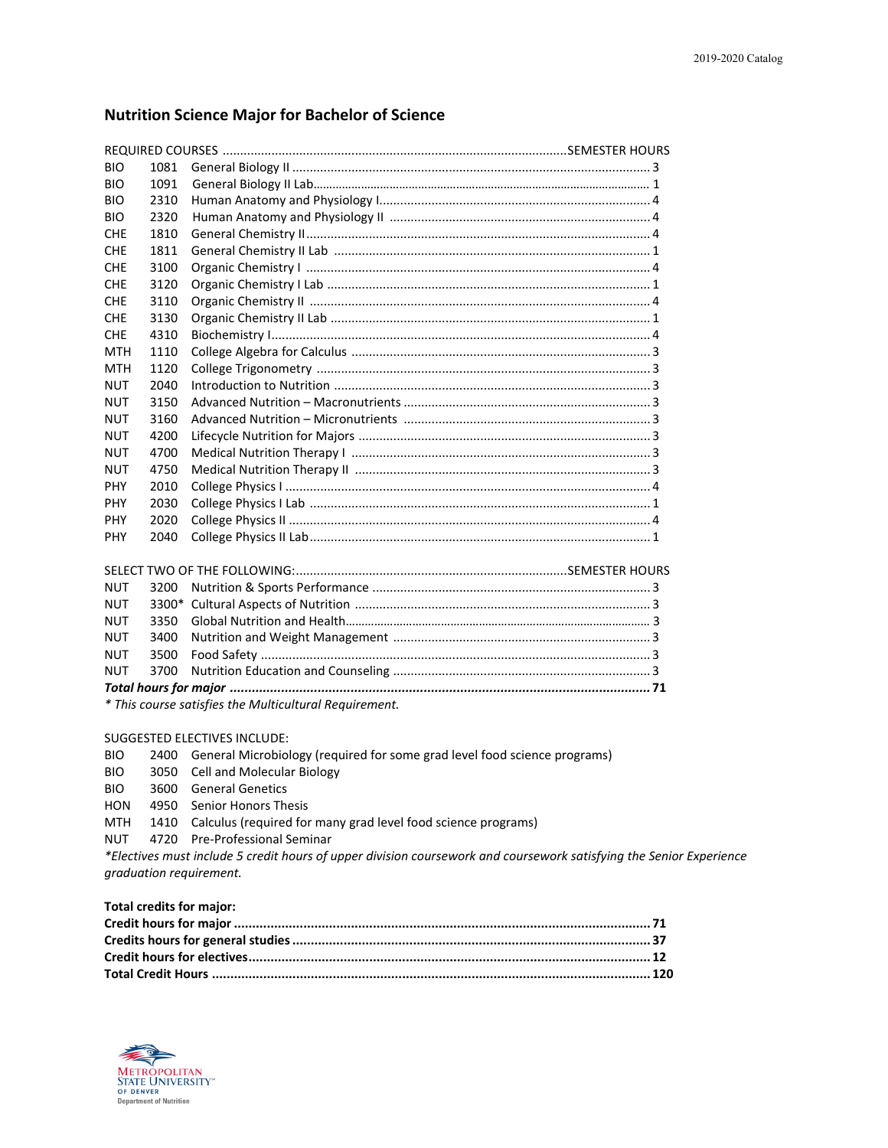# **Nutrition Science Major for Bachelor of Science**

| <b>BIO</b> | 1081 |  |  |
|------------|------|--|--|
| <b>BIO</b> | 1091 |  |  |
| <b>BIO</b> | 2310 |  |  |
| <b>BIO</b> | 2320 |  |  |
| <b>CHE</b> | 1810 |  |  |
| <b>CHF</b> | 1811 |  |  |
| <b>CHE</b> | 3100 |  |  |
| <b>CHE</b> | 3120 |  |  |
| <b>CHE</b> | 3110 |  |  |
| <b>CHE</b> | 3130 |  |  |
| <b>CHE</b> | 4310 |  |  |
| MTH        | 1110 |  |  |
| <b>MTH</b> | 1120 |  |  |
| <b>NUT</b> | 2040 |  |  |
| <b>NUT</b> | 3150 |  |  |
| <b>NUT</b> | 3160 |  |  |
| <b>NUT</b> | 4200 |  |  |
| NUT        | 4700 |  |  |
| <b>NUT</b> | 4750 |  |  |
| <b>PHY</b> | 2010 |  |  |
| <b>PHY</b> | 2030 |  |  |
| <b>PHY</b> | 2020 |  |  |
| <b>PHY</b> | 2040 |  |  |

| <b>NUT</b> |  |  |  |  |  |
|------------|--|--|--|--|--|
| <b>NUT</b> |  |  |  |  |  |
|            |  |  |  |  |  |
|            |  |  |  |  |  |
|            |  |  |  |  |  |
|            |  |  |  |  |  |

*\* This course satisfies the Multicultural Requirement.*

#### SUGGESTED ELECTIVES INCLUDE:

| <b>BIO</b> |  | 2400 General Microbiology (required for some grad level food science programs) |  |  |  |
|------------|--|--------------------------------------------------------------------------------|--|--|--|
|------------|--|--------------------------------------------------------------------------------|--|--|--|

- BIO 3050 Cell and Molecular Biology
- BIO 3600 General Genetics
- HON 4950 Senior Honors Thesis
- MTH 1410 Calculus (required for many grad level food science programs)
- NUT 4720 Pre-Professional Seminar

*\*Electives must include 5 credit hours of upper division coursework and coursework satisfying the Senior Experience graduation requirement.* 

**Total credits for major:** 

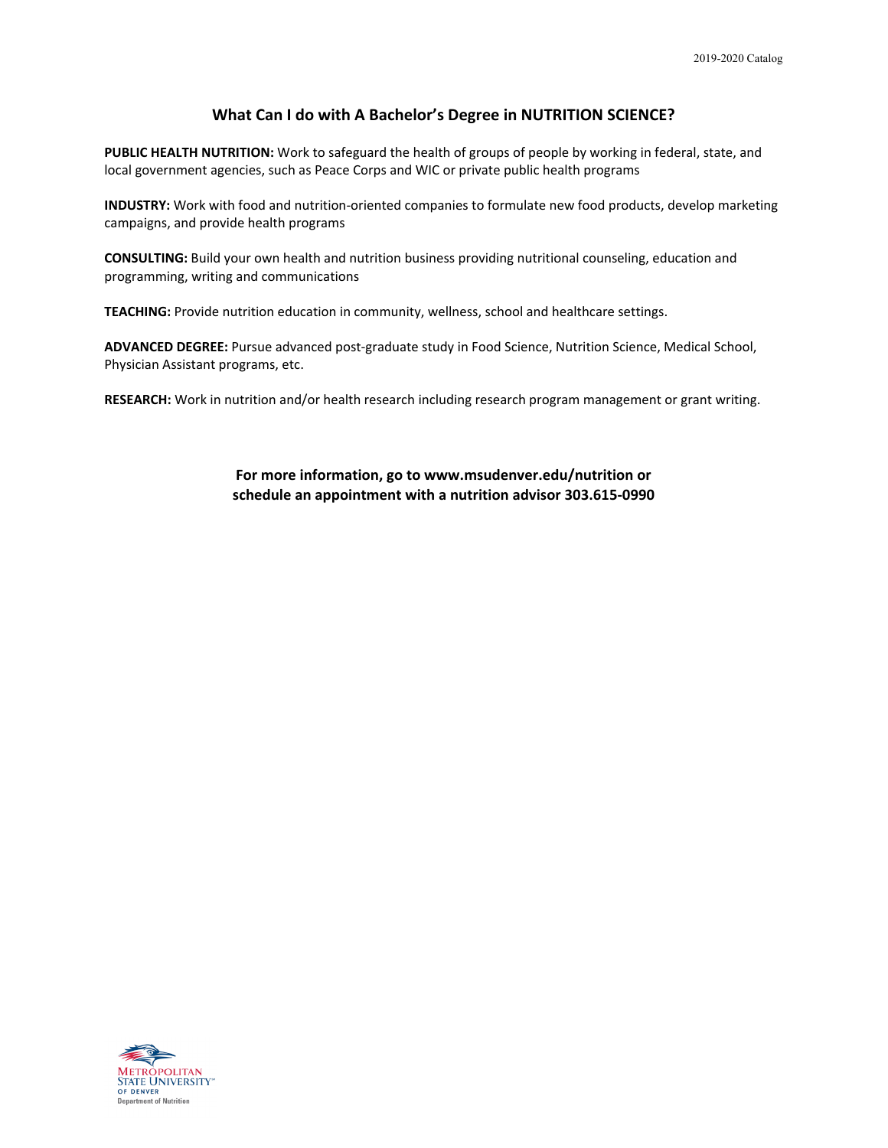## **What Can I do with A Bachelor's Degree in NUTRITION SCIENCE?**

**PUBLIC HEALTH NUTRITION:** Work to safeguard the health of groups of people by working in federal, state, and local government agencies, such as Peace Corps and WIC or private public health programs

**INDUSTRY:** Work with food and nutrition-oriented companies to formulate new food products, develop marketing campaigns, and provide health programs

**CONSULTING:** Build your own health and nutrition business providing nutritional counseling, education and programming, writing and communications

**TEACHING:** Provide nutrition education in community, wellness, school and healthcare settings.

**ADVANCED DEGREE:** Pursue advanced post-graduate study in Food Science, Nutrition Science, Medical School, Physician Assistant programs, etc.

**RESEARCH:** Work in nutrition and/or health research including research program management or grant writing.

**For more information, go to www.msudenver.edu/nutrition or schedule an appointment with a nutrition advisor 303.615-0990**